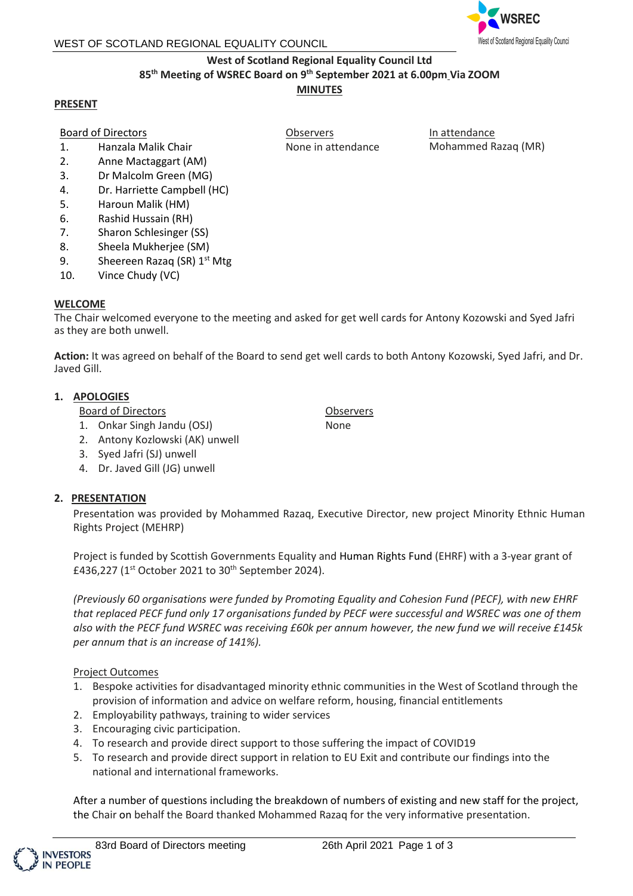### WEST OF SCOTLAND REGIONAL EQUALITY COUNCIL



## **West of Scotland Regional Equality Council Ltd 85th Meeting of WSREC Board on 9 th September 2021 at 6.00pm Via ZOOM**

## **MINUTES**

Observers

None in attendance

## **PRESENT**

# Board of Directors

- 1. Hanzala Malik Chair
- 2. Anne Mactaggart (AM)
- 3. Dr Malcolm Green (MG)
- 4. Dr. Harriette Campbell (HC)
- 5. Haroun Malik (HM)
- 6. Rashid Hussain (RH)
- 7. Sharon Schlesinger (SS)
- 8. Sheela Mukherjee (SM)
- 9. Sheereen Razaq (SR) 1<sup>st</sup> Mtg
- 10. Vince Chudy (VC)

## **WELCOME**

The Chair welcomed everyone to the meeting and asked for get well cards for Antony Kozowski and Syed Jafri as they are both unwell.

**Action:** It was agreed on behalf of the Board to send get well cards to both Antony Kozowski, Syed Jafri, and Dr. Javed Gill.

## **1. APOLOGIES**

Board of Directors

- 1. Onkar Singh Jandu (OSJ)
- 2. Antony Kozlowski (AK) unwell
- 3. Syed Jafri (SJ) unwell
- 4. Dr. Javed Gill (JG) unwell

## **2. PRESENTATION**

Presentation was provided by Mohammed Razaq, Executive Director, new project Minority Ethnic Human Rights Project (MEHRP)

Project is funded by Scottish Governments Equality and Human Rights Fund (EHRF) with a 3-year grant of £436,227 (1<sup>st</sup> October 2021 to 30<sup>th</sup> September 2024).

*(Previously 60 organisations were funded by Promoting Equality and Cohesion Fund (PECF), with new EHRF that replaced PECF fund only 17 organisations funded by PECF were successful and WSREC was one of them also with the PECF fund WSREC was receiving £60k per annum however, the new fund we will receive £145k per annum that is an increase of 141%).*

## Project Outcomes

- 1. Bespoke activities for disadvantaged minority ethnic communities in the West of Scotland through the provision of information and advice on welfare reform, housing, financial entitlements
- 2. Employability pathways, training to wider services
- 3. Encouraging civic participation.
- 4. To research and provide direct support to those suffering the impact of COVID19
- 5. To research and provide direct support in relation to EU Exit and contribute our findings into the national and international frameworks.

After a number of questions including the breakdown of numbers of existing and new staff for the project, the Chair on behalf the Board thanked Mohammed Razaq for the very informative presentation.



**Observers** None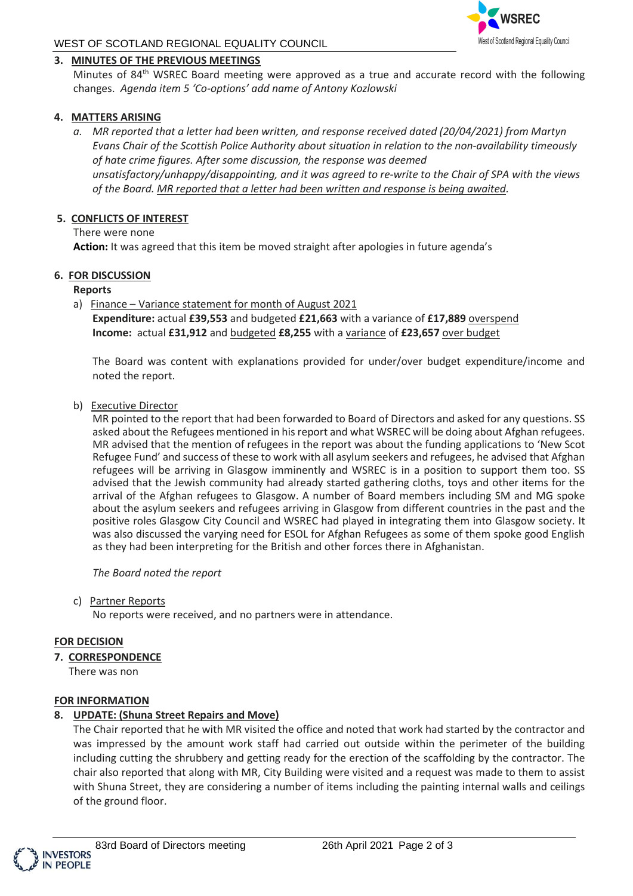

## WEST OF SCOTLAND REGIONAL EQUALITY COUNCIL

### **3. MINUTES OF THE PREVIOUS MEETINGS**

Minutes of 84<sup>th</sup> WSREC Board meeting were approved as a true and accurate record with the following changes. *Agenda item 5 'Co-options' add name of Antony Kozlowski*

## **4. MATTERS ARISING**

*a. MR reported that a letter had been written, and response received dated (20/04/2021) from Martyn Evans Chair of the Scottish Police Authority about situation in relation to the non-availability timeously of hate crime figures. After some discussion, the response was deemed unsatisfactory/unhappy/disappointing, and it was agreed to re-write to the Chair of SPA with the views of the Board. MR reported that a letter had been written and response is being awaited.*

### **5. CONFLICTS OF INTEREST**

There were none

**Action:** It was agreed that this item be moved straight after apologies in future agenda's

#### **6. FOR DISCUSSION**

#### **Reports**

a) Finance - Variance statement for month of August 2021 **Expenditure:** actual **£39,553** and budgeted **£21,663** with a variance of **£17,889** overspend **Income:** actual **£31,912** and budgeted **£8,255** with a variance of **£23,657** over budget

The Board was content with explanations provided for under/over budget expenditure/income and noted the report.

#### b) Executive Director

MR pointed to the report that had been forwarded to Board of Directors and asked for any questions. SS asked about the Refugees mentioned in his report and what WSREC will be doing about Afghan refugees. MR advised that the mention of refugees in the report was about the funding applications to 'New Scot Refugee Fund' and success of these to work with all asylum seekers and refugees, he advised that Afghan refugees will be arriving in Glasgow imminently and WSREC is in a position to support them too. SS advised that the Jewish community had already started gathering cloths, toys and other items for the arrival of the Afghan refugees to Glasgow. A number of Board members including SM and MG spoke about the asylum seekers and refugees arriving in Glasgow from different countries in the past and the positive roles Glasgow City Council and WSREC had played in integrating them into Glasgow society. It was also discussed the varying need for ESOL for Afghan Refugees as some of them spoke good English as they had been interpreting for the British and other forces there in Afghanistan.

*The Board noted the report* 

c) Partner Reports

No reports were received, and no partners were in attendance.

#### **FOR DECISION**

**7. CORRESPONDENCE**

There was non

#### **FOR INFORMATION**

#### **8. UPDATE: (Shuna Street Repairs and Move)**

The Chair reported that he with MR visited the office and noted that work had started by the contractor and was impressed by the amount work staff had carried out outside within the perimeter of the building including cutting the shrubbery and getting ready for the erection of the scaffolding by the contractor. The chair also reported that along with MR, City Building were visited and a request was made to them to assist with Shuna Street, they are considering a number of items including the painting internal walls and ceilings of the ground floor.